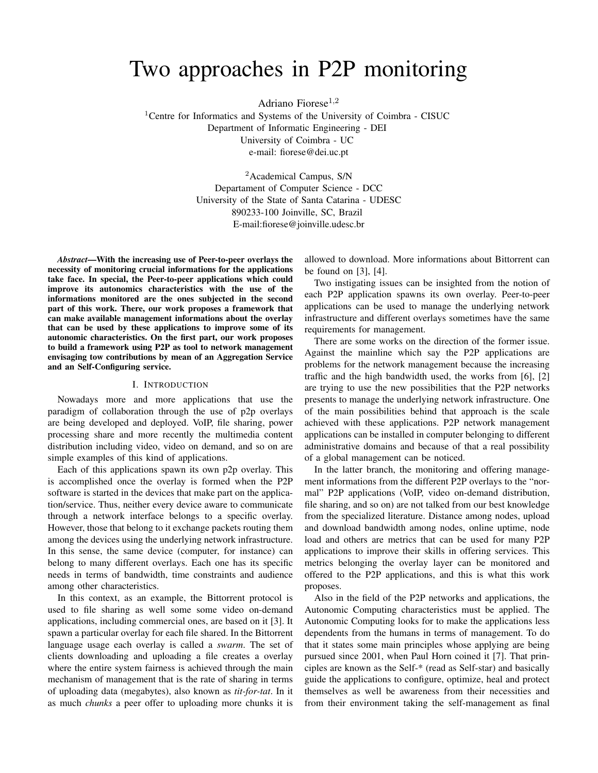# Two approaches in P2P monitoring

Adriano Fiorese $^{1,2}$ 

<sup>1</sup>Centre for Informatics and Systems of the University of Coimbra - CISUC Department of Informatic Engineering - DEI University of Coimbra - UC e-mail: fiorese@dei.uc.pt

> <sup>2</sup> Academical Campus, S/N Departament of Computer Science - DCC University of the State of Santa Catarina - UDESC 890233-100 Joinville, SC, Brazil E-mail:fiorese@joinville.udesc.br

*Abstract*—With the increasing use of Peer-to-peer overlays the necessity of monitoring crucial informations for the applications take face. In special, the Peer-to-peer applications which could improve its autonomics characteristics with the use of the informations monitored are the ones subjected in the second part of this work. There, our work proposes a framework that can make available management informations about the overlay that can be used by these applications to improve some of its autonomic characteristics. On the first part, our work proposes to build a framework using P2P as tool to network management envisaging tow contributions by mean of an Aggregation Service and an Self-Configuring service.

### I. INTRODUCTION

Nowadays more and more applications that use the paradigm of collaboration through the use of p2p overlays are being developed and deployed. VoIP, file sharing, power processing share and more recently the multimedia content distribution including video, video on demand, and so on are simple examples of this kind of applications.

Each of this applications spawn its own p2p overlay. This is accomplished once the overlay is formed when the P2P software is started in the devices that make part on the application/service. Thus, neither every device aware to communicate through a network interface belongs to a specific overlay. However, those that belong to it exchange packets routing them among the devices using the underlying network infrastructure. In this sense, the same device (computer, for instance) can belong to many different overlays. Each one has its specific needs in terms of bandwidth, time constraints and audience among other characteristics.

In this context, as an example, the Bittorrent protocol is used to file sharing as well some some video on-demand applications, including commercial ones, are based on it [3]. It spawn a particular overlay for each file shared. In the Bittorrent language usage each overlay is called a *swarm*. The set of clients downloading and uploading a file creates a overlay where the entire system fairness is achieved through the main mechanism of management that is the rate of sharing in terms of uploading data (megabytes), also known as *tit-for-tat*. In it as much *chunks* a peer offer to uploading more chunks it is

allowed to download. More informations about Bittorrent can be found on [3], [4].

Two instigating issues can be insighted from the notion of each P2P application spawns its own overlay. Peer-to-peer applications can be used to manage the underlying network infrastructure and different overlays sometimes have the same requirements for management.

There are some works on the direction of the former issue. Against the mainline which say the P2P applications are problems for the network management because the increasing traffic and the high bandwidth used, the works from [6], [2] are trying to use the new possibilities that the P2P networks presents to manage the underlying network infrastructure. One of the main possibilities behind that approach is the scale achieved with these applications. P2P network management applications can be installed in computer belonging to different administrative domains and because of that a real possibility of a global management can be noticed.

In the latter branch, the monitoring and offering management informations from the different P2P overlays to the "normal" P2P applications (VoIP, video on-demand distribution, file sharing, and so on) are not talked from our best knowledge from the specialized literature. Distance among nodes, upload and download bandwidth among nodes, online uptime, node load and others are metrics that can be used for many P2P applications to improve their skills in offering services. This metrics belonging the overlay layer can be monitored and offered to the P2P applications, and this is what this work proposes.

Also in the field of the P2P networks and applications, the Autonomic Computing characteristics must be applied. The Autonomic Computing looks for to make the applications less dependents from the humans in terms of management. To do that it states some main principles whose applying are being pursued since 2001, when Paul Horn coined it [7]. That principles are known as the Self-\* (read as Self-star) and basically guide the applications to configure, optimize, heal and protect themselves as well be awareness from their necessities and from their environment taking the self-management as final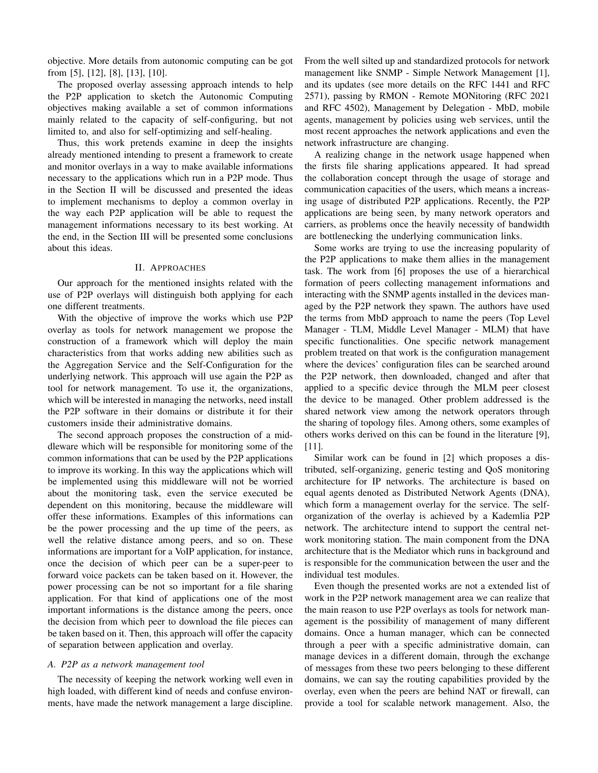objective. More details from autonomic computing can be got from [5], [12], [8], [13], [10].

The proposed overlay assessing approach intends to help the P2P application to sketch the Autonomic Computing objectives making available a set of common informations mainly related to the capacity of self-configuring, but not limited to, and also for self-optimizing and self-healing.

Thus, this work pretends examine in deep the insights already mentioned intending to present a framework to create and monitor overlays in a way to make available informations necessary to the applications which run in a P2P mode. Thus in the Section II will be discussed and presented the ideas to implement mechanisms to deploy a common overlay in the way each P2P application will be able to request the management informations necessary to its best working. At the end, in the Section III will be presented some conclusions about this ideas.

# II. APPROACHES

Our approach for the mentioned insights related with the use of P2P overlays will distinguish both applying for each one different treatments.

With the objective of improve the works which use P2P overlay as tools for network management we propose the construction of a framework which will deploy the main characteristics from that works adding new abilities such as the Aggregation Service and the Self-Configuration for the underlying network. This approach will use again the P2P as tool for network management. To use it, the organizations, which will be interested in managing the networks, need install the P2P software in their domains or distribute it for their customers inside their administrative domains.

The second approach proposes the construction of a middleware which will be responsible for monitoring some of the common informations that can be used by the P2P applications to improve its working. In this way the applications which will be implemented using this middleware will not be worried about the monitoring task, even the service executed be dependent on this monitoring, because the middleware will offer these informations. Examples of this informations can be the power processing and the up time of the peers, as well the relative distance among peers, and so on. These informations are important for a VoIP application, for instance, once the decision of which peer can be a super-peer to forward voice packets can be taken based on it. However, the power processing can be not so important for a file sharing application. For that kind of applications one of the most important informations is the distance among the peers, once the decision from which peer to download the file pieces can be taken based on it. Then, this approach will offer the capacity of separation between application and overlay.

### *A. P2P as a network management tool*

The necessity of keeping the network working well even in high loaded, with different kind of needs and confuse environments, have made the network management a large discipline. From the well silted up and standardized protocols for network management like SNMP - Simple Network Management [1], and its updates (see more details on the RFC 1441 and RFC 2571), passing by RMON - Remote MONitoring (RFC 2021 and RFC 4502), Management by Delegation - MbD, mobile agents, management by policies using web services, until the most recent approaches the network applications and even the network infrastructure are changing.

A realizing change in the network usage happened when the firsts file sharing applications appeared. It had spread the collaboration concept through the usage of storage and communication capacities of the users, which means a increasing usage of distributed P2P applications. Recently, the P2P applications are being seen, by many network operators and carriers, as problems once the heavily necessity of bandwidth are bottlenecking the underlying communication links.

Some works are trying to use the increasing popularity of the P2P applications to make them allies in the management task. The work from [6] proposes the use of a hierarchical formation of peers collecting management informations and interacting with the SNMP agents installed in the devices managed by the P2P network they spawn. The authors have used the terms from MbD approach to name the peers (Top Level Manager - TLM, Middle Level Manager - MLM) that have specific functionalities. One specific network management problem treated on that work is the configuration management where the devices' configuration files can be searched around the P2P network, then downloaded, changed and after that applied to a specific device through the MLM peer closest the device to be managed. Other problem addressed is the shared network view among the network operators through the sharing of topology files. Among others, some examples of others works derived on this can be found in the literature [9], [11].

Similar work can be found in [2] which proposes a distributed, self-organizing, generic testing and QoS monitoring architecture for IP networks. The architecture is based on equal agents denoted as Distributed Network Agents (DNA), which form a management overlay for the service. The selforganization of the overlay is achieved by a Kademlia P2P network. The architecture intend to support the central network monitoring station. The main component from the DNA architecture that is the Mediator which runs in background and is responsible for the communication between the user and the individual test modules.

Even though the presented works are not a extended list of work in the P2P network management area we can realize that the main reason to use P2P overlays as tools for network management is the possibility of management of many different domains. Once a human manager, which can be connected through a peer with a specific administrative domain, can manage devices in a different domain, through the exchange of messages from these two peers belonging to these different domains, we can say the routing capabilities provided by the overlay, even when the peers are behind NAT or firewall, can provide a tool for scalable network management. Also, the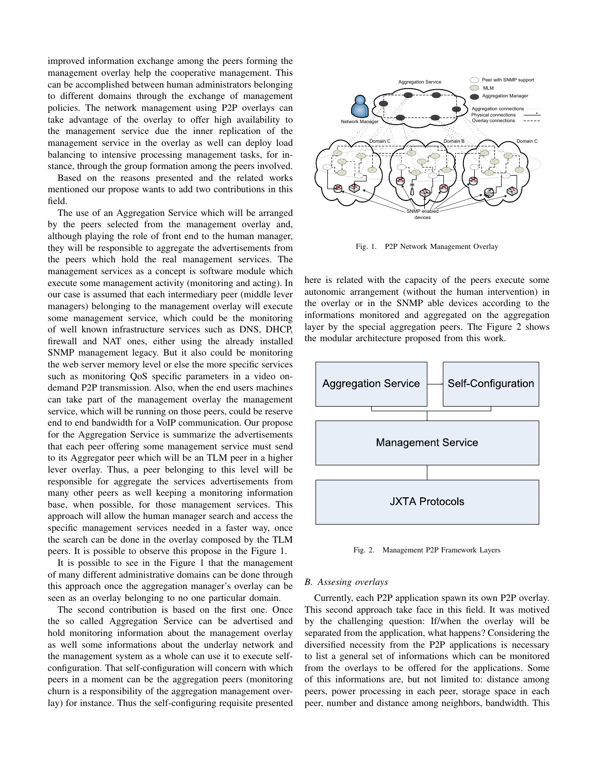improved information exchange among the peers forming the management overlay help the cooperative management. This can be accomplished between human administrators belonging to different domains through the exchange of management policies. The network management using P2P overlays can take advantage of the overlay to offer high availability to the management service due the inner replication of the management service in the overlay as well can deploy load balancing to intensive processing management tasks, for instance, through the group formation among the peers involved.

Based on the reasons presented and the related works mentioned our propose wants to add two contributions in this field.

The use of an Aggregation Service which will be arranged by the peers selected from the management overlay and, although playing the role of front end to the human manager, they will be responsible to aggregate the advertisements from the peers which hold the real management services. The management services as a concept is software module which execute some management activity (monitoring and acting). In our case is assumed that each intermediary peer (middle lever managers) belonging to the management overlay will execute some management service, which could be the monitoring of well known infrastructure services such as DNS, DHCP, firewall and NAT ones, either using the already installed SNMP management legacy. But it also could be monitoring the web server memory level or else the more specific services such as monitoring QoS specific parameters in a video ondemand P2P transmission. Also, when the end users machines can take part of the management overlay the management service, which will be running on those peers, could be reserve end to end bandwidth for a VoIP communication. Our propose for the Aggregation Service is summarize the advertisements that each peer offering some management service must send to its Aggregator peer which will be an TLM peer in a higher lever overlay. Thus, a peer belonging to this level will be responsible for aggregate the services advertisements from many other peers as well keeping a monitoring information base, when possible, for those management services. This approach will allow the human manager search and access the specific management services needed in a faster way, once the search can be done in the overlay composed by the TLM peers. It is possible to observe this propose in the Figure 1.

It is possible to see in the Figure 1 that the management of many different administrative domains can be done through this approach once the aggregation manager's overlay can be seen as an overlay belonging to no one particular domain.

The second contribution is based on the first one. Once the so called Aggregation Service can be advertised and hold monitoring information about the management overlay as well some informations about the underlay network and the management system as a whole can use it to execute selfconfiguration. That self-configuration will concern with which peers in a moment can be the aggregation peers (monitoring churn is a responsibility of the aggregation management overlay) for instance. Thus the self-configuring requisite presented



Fig. 1. P2P Network Management Overlay

here is related with the capacity of the peers execute some autonomic arrangement (without the human intervention) in the overlay or in the SNMP able devices according to the informations monitored and aggregated on the aggregation layer by the special aggregation peers. The Figure 2 shows the modular architecture proposed from this work.



Fig. 2. Management P2P Framework Layers

# *B. Assesing overlays*

Currently, each P2P application spawn its own P2P overlay. This second approach take face in this field. It was motived by the challenging question: If/when the overlay will be separated from the application, what happens? Considering the diversified necessity from the P2P applications is necessary to list a general set of informations which can be monitored from the overlays to be offered for the applications. Some of this informations are, but not limited to: distance among peers, power processing in each peer, storage space in each peer, number and distance among neighbors, bandwidth. This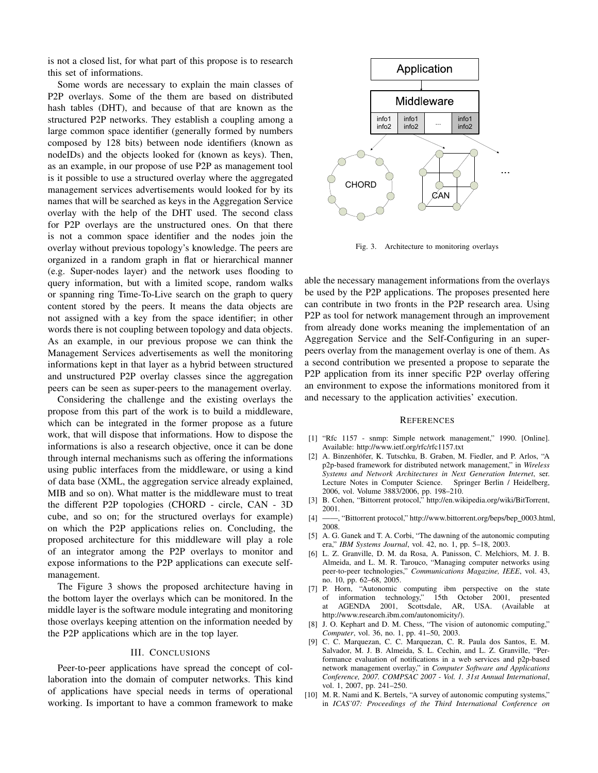is not a closed list, for what part of this propose is to research this set of informations.

Some words are necessary to explain the main classes of P2P overlays. Some of the them are based on distributed hash tables (DHT), and because of that are known as the structured P2P networks. They establish a coupling among a large common space identifier (generally formed by numbers composed by 128 bits) between node identifiers (known as nodeIDs) and the objects looked for (known as keys). Then, as an example, in our propose of use P2P as management tool is it possible to use a structured overlay where the aggregated management services advertisements would looked for by its names that will be searched as keys in the Aggregation Service overlay with the help of the DHT used. The second class for P2P overlays are the unstructured ones. On that there is not a common space identifier and the nodes join the overlay without previous topology's knowledge. The peers are organized in a random graph in flat or hierarchical manner (e.g. Super-nodes layer) and the network uses flooding to query information, but with a limited scope, random walks or spanning ring Time-To-Live search on the graph to query content stored by the peers. It means the data objects are not assigned with a key from the space identifier; in other words there is not coupling between topology and data objects. As an example, in our previous propose we can think the Management Services advertisements as well the monitoring informations kept in that layer as a hybrid between structured and unstructured P2P overlay classes since the aggregation peers can be seen as super-peers to the management overlay.

Considering the challenge and the existing overlays the propose from this part of the work is to build a middleware, which can be integrated in the former propose as a future work, that will dispose that informations. How to dispose the informations is also a research objective, once it can be done through internal mechanisms such as offering the informations using public interfaces from the middleware, or using a kind of data base (XML, the aggregation service already explained, MIB and so on). What matter is the middleware must to treat the different P2P topologies (CHORD - circle, CAN - 3D cube, and so on; for the structured overlays for example) on which the P2P applications relies on. Concluding, the proposed architecture for this middleware will play a role of an integrator among the P2P overlays to monitor and expose informations to the P2P applications can execute selfmanagement.

The Figure 3 shows the proposed architecture having in the bottom layer the overlays which can be monitored. In the middle layer is the software module integrating and monitoring those overlays keeping attention on the information needed by the P2P applications which are in the top layer.

#### III. CONCLUSIONS

Peer-to-peer applications have spread the concept of collaboration into the domain of computer networks. This kind of applications have special needs in terms of operational working. Is important to have a common framework to make



Fig. 3. Architecture to monitoring overlays

able the necessary management informations from the overlays be used by the P2P applications. The proposes presented here can contribute in two fronts in the P2P research area. Using P2P as tool for network management through an improvement from already done works meaning the implementation of an Aggregation Service and the Self-Configuring in an superpeers overlay from the management overlay is one of them. As a second contribution we presented a propose to separate the P2P application from its inner specific P2P overlay offering an environment to expose the informations monitored from it and necessary to the application activities' execution.

#### **REFERENCES**

- [1] "Rfc 1157 snmp: Simple network management," 1990. [Online]. Available: http://www.ietf.org/rfc/rfc1157.txt
- [2] A. Binzenhöfer, K. Tutschku, B. Graben, M. Fiedler, and P. Arlos, "A p2p-based framework for distributed network management," in *Wireless Systems and Network Architectures in Next Generation Internet*, ser. Lecture Notes in Computer Science. Springer Berlin / Heidelberg, 2006, vol. Volume 3883/2006, pp. 198–210.
- [3] B. Cohen, "Bittorrent protocol," http://en.wikipedia.org/wiki/BitTorrent, 2001.
- [4] ——, "Bittorrent protocol," http://www.bittorrent.org/beps/bep\_0003.html, 2008.
- [5] A. G. Ganek and T. A. Corbi, "The dawning of the autonomic computing era," *IBM Systems Journal*, vol. 42, no. 1, pp. 5–18, 2003.
- [6] L. Z. Granville, D. M. da Rosa, A. Panisson, C. Melchiors, M. J. B. Almeida, and L. M. R. Tarouco, "Managing computer networks using peer-to-peer technologies," *Communications Magazine, IEEE*, vol. 43, no. 10, pp. 62–68, 2005.
- [7] P. Horn, "Autonomic computing ibm perspective on the state of information technology," 15th October 2001, presented at AGENDA 2001, Scottsdale, AR, USA. (Available at http://www.research.ibm.com/autonomicity/).
- [8] J. O. Kephart and D. M. Chess, "The vision of autonomic computing," *Computer*, vol. 36, no. 1, pp. 41–50, 2003.
- [9] C. C. Marquezan, C. C. Marquezan, C. R. Paula dos Santos, E. M. Salvador, M. J. B. Almeida, S. L. Cechin, and L. Z. Granville, "Performance evaluation of notifications in a web services and p2p-based network management overlay," in *Computer Software and Applications Conference, 2007. COMPSAC 2007 - Vol. 1. 31st Annual International*, vol. 1, 2007, pp. 241–250.
- [10] M. R. Nami and K. Bertels, "A survey of autonomic computing systems," in *ICAS'07: Proceedings of the Third International Conference on*